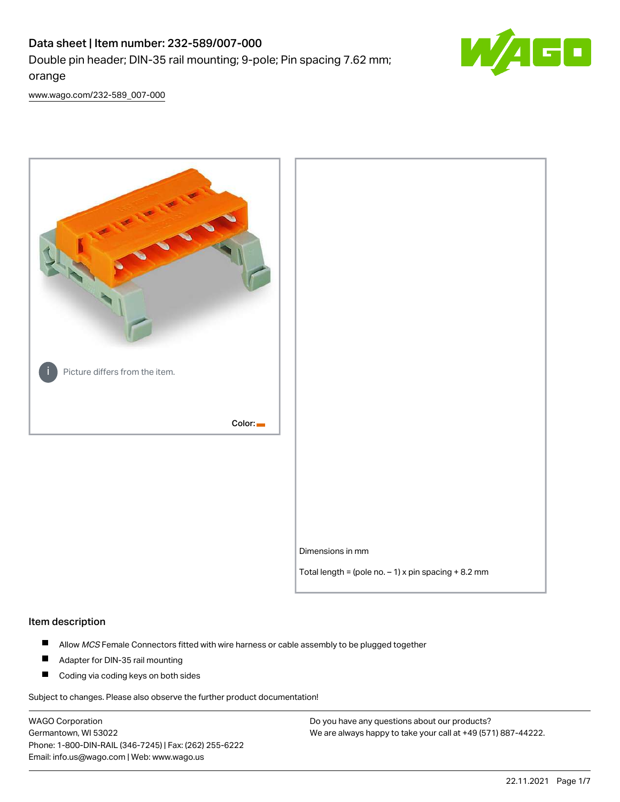# Data sheet | Item number: 232-589/007-000 Double pin header; DIN-35 rail mounting; 9-pole; Pin spacing 7.62 mm; orange



[www.wago.com/232-589\\_007-000](http://www.wago.com/232-589_007-000)



### Item description

- $\blacksquare$ Allow MCS Female Connectors fitted with wire harness or cable assembly to be plugged together
- $\blacksquare$ Adapter for DIN-35 rail mounting
- $\blacksquare$ Coding via coding keys on both sides

Subject to changes. Please also observe the further product documentation!

WAGO Corporation Germantown, WI 53022 Phone: 1-800-DIN-RAIL (346-7245) | Fax: (262) 255-6222 Email: info.us@wago.com | Web: www.wago.us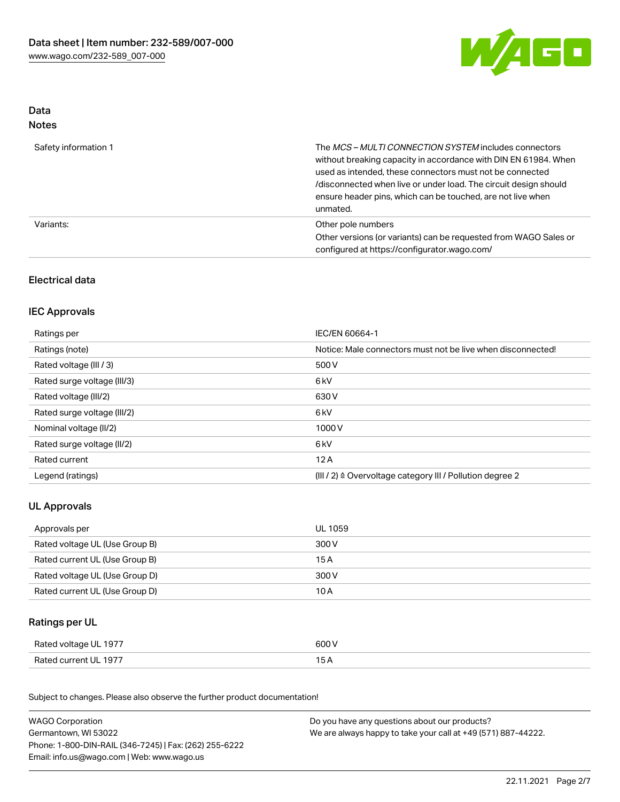

## Data Notes

| Safety information 1 | The <i>MCS – MULTI CONNECTION SYSTEM</i> includes connectors<br>without breaking capacity in accordance with DIN EN 61984. When<br>used as intended, these connectors must not be connected<br>/disconnected when live or under load. The circuit design should<br>ensure header pins, which can be touched, are not live when<br>unmated. |
|----------------------|--------------------------------------------------------------------------------------------------------------------------------------------------------------------------------------------------------------------------------------------------------------------------------------------------------------------------------------------|
| Variants:            | Other pole numbers<br>Other versions (or variants) can be requested from WAGO Sales or<br>configured at https://configurator.wago.com/                                                                                                                                                                                                     |

## Electrical data

## IEC Approvals

| Ratings per                 | IEC/EN 60664-1                                                        |
|-----------------------------|-----------------------------------------------------------------------|
| Ratings (note)              | Notice: Male connectors must not be live when disconnected!           |
| Rated voltage (III / 3)     | 500 V                                                                 |
| Rated surge voltage (III/3) | 6 <sub>kV</sub>                                                       |
| Rated voltage (III/2)       | 630 V                                                                 |
| Rated surge voltage (III/2) | 6 <sub>kV</sub>                                                       |
| Nominal voltage (II/2)      | 1000V                                                                 |
| Rated surge voltage (II/2)  | 6 <sub>kV</sub>                                                       |
| Rated current               | 12A                                                                   |
| Legend (ratings)            | $(III / 2)$ $\triangle$ Overvoltage category III / Pollution degree 2 |

## UL Approvals

| Approvals per                  | UL 1059 |
|--------------------------------|---------|
| Rated voltage UL (Use Group B) | 300 V   |
| Rated current UL (Use Group B) | 15 A    |
| Rated voltage UL (Use Group D) | 300 V   |
| Rated current UL (Use Group D) | 10 A    |

## Ratings per UL

| Rated voltage UL 1977 | 600 V |
|-----------------------|-------|
| Rated current UL 1977 |       |

Subject to changes. Please also observe the further product documentation!

| <b>WAGO Corporation</b>                                | Do you have any questions about our products?                 |  |
|--------------------------------------------------------|---------------------------------------------------------------|--|
| Germantown, WI 53022                                   | We are always happy to take your call at +49 (571) 887-44222. |  |
| Phone: 1-800-DIN-RAIL (346-7245)   Fax: (262) 255-6222 |                                                               |  |
| Email: info.us@wago.com   Web: www.wago.us             |                                                               |  |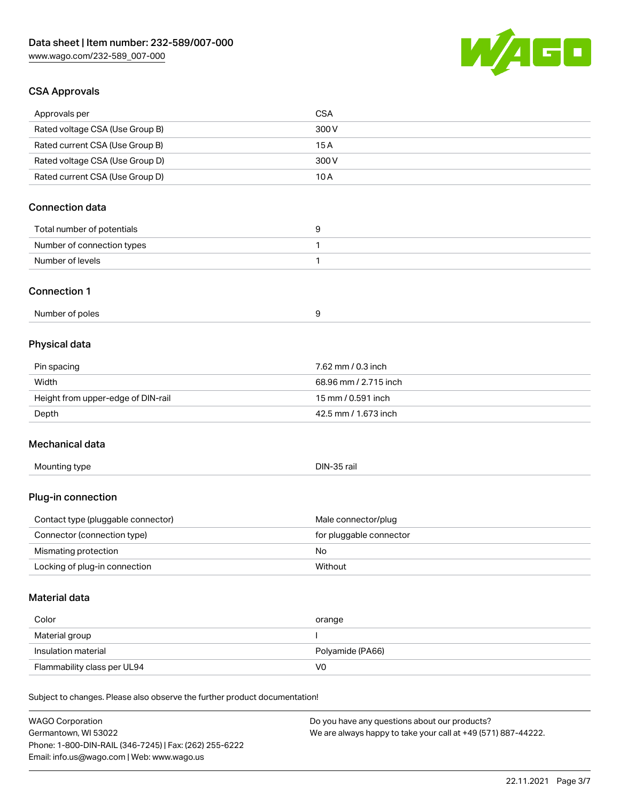

## CSA Approvals

| <b>WAGO Corporation</b>                                                    | Do you have any questions about our products? |  |
|----------------------------------------------------------------------------|-----------------------------------------------|--|
| Subject to changes. Please also observe the further product documentation! |                                               |  |
| Flammability class per UL94                                                | V <sub>0</sub>                                |  |
| Insulation material                                                        | Polyamide (PA66)                              |  |
| Material group                                                             |                                               |  |
| Color                                                                      | orange                                        |  |
| <b>Material data</b>                                                       |                                               |  |
| Locking of plug-in connection                                              | Without                                       |  |
| Mismating protection                                                       | No                                            |  |
| Connector (connection type)                                                | for pluggable connector                       |  |
| Contact type (pluggable connector)                                         | Male connector/plug                           |  |
| Plug-in connection                                                         |                                               |  |
| Mounting type                                                              | DIN-35 rail                                   |  |
| Mechanical data                                                            |                                               |  |
| Depth                                                                      | 42.5 mm / 1.673 inch                          |  |
| Height from upper-edge of DIN-rail                                         | 15 mm / 0.591 inch                            |  |
| Width                                                                      | 68.96 mm / 2.715 inch                         |  |
| Pin spacing                                                                | 7.62 mm / 0.3 inch                            |  |
| Physical data                                                              |                                               |  |
| Number of poles                                                            | 9                                             |  |
| <b>Connection 1</b>                                                        |                                               |  |
| Number of levels                                                           | $\mathbf{1}$                                  |  |
| Number of connection types                                                 | 1                                             |  |
| Total number of potentials                                                 | 9                                             |  |
| <b>Connection data</b>                                                     |                                               |  |
|                                                                            |                                               |  |
| Rated voltage CSA (Use Group D)<br>Rated current CSA (Use Group D)         | 300V<br>10A                                   |  |
| Rated current CSA (Use Group B)                                            | 15A                                           |  |
| Rated voltage CSA (Use Group B)                                            | 300 V                                         |  |
| Approvals per                                                              | <b>CSA</b>                                    |  |
|                                                                            |                                               |  |

WAGO Corporation Germantown, WI 53022 Phone: 1-800-DIN-RAIL (346-7245) | Fax: (262) 255-6222 Email: info.us@wago.com | Web: www.wago.us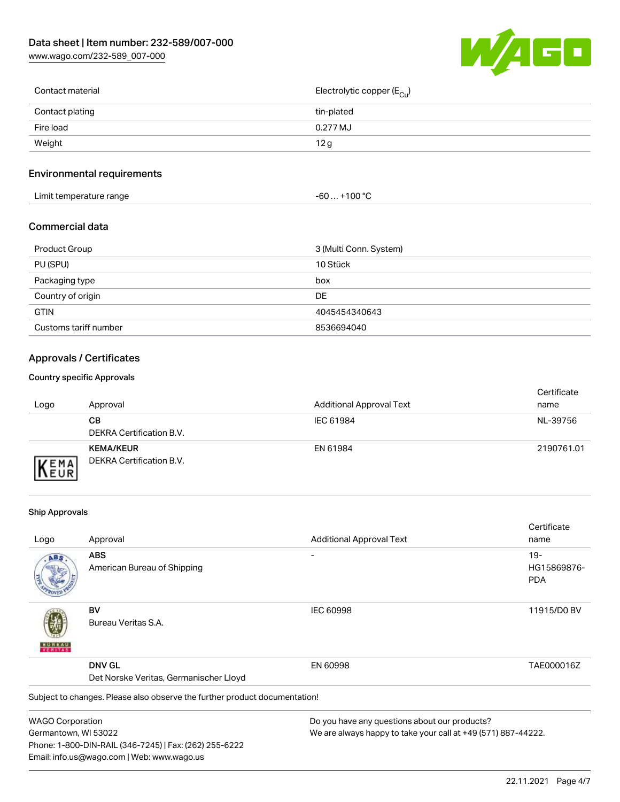[www.wago.com/232-589\\_007-000](http://www.wago.com/232-589_007-000)



| Contact material | Electrolytic copper (E <sub>Cu</sub> ) |
|------------------|----------------------------------------|
| Contact plating  | tin-plated                             |
| Fire load        | 0.277 MJ                               |
| Weight           | 12g                                    |
|                  |                                        |

## Environmental requirements

| Limit temperature range | ⊥+100 °ົ<br>-60 |
|-------------------------|-----------------|
|-------------------------|-----------------|

### Commercial data

| Product Group         | 3 (Multi Conn. System) |
|-----------------------|------------------------|
| PU (SPU)              | 10 Stück               |
| Packaging type        | box                    |
| Country of origin     | DE                     |
| <b>GTIN</b>           | 4045454340643          |
| Customs tariff number | 8536694040             |

## Approvals / Certificates

### Country specific Approvals

| Logo               | Approval                                     | <b>Additional Approval Text</b> | Certificate<br>name |
|--------------------|----------------------------------------------|---------------------------------|---------------------|
|                    | CВ<br>DEKRA Certification B.V.               | IEC 61984                       | NL-39756            |
| EMA<br><b>NEUR</b> | <b>KEMA/KEUR</b><br>DEKRA Certification B.V. | EN 61984                        | 2190761.01          |

### Ship Approvals

Email: info.us@wago.com | Web: www.wago.us

|                         |                                                                            |                                                               | Certificate |
|-------------------------|----------------------------------------------------------------------------|---------------------------------------------------------------|-------------|
| Logo                    | Approval                                                                   | <b>Additional Approval Text</b>                               | name        |
| ABS                     | <b>ABS</b>                                                                 |                                                               | $19-$       |
|                         | American Bureau of Shipping                                                |                                                               | HG15869876- |
|                         |                                                                            |                                                               | <b>PDA</b>  |
|                         | BV                                                                         | <b>IEC 60998</b>                                              | 11915/D0 BV |
| VERITAS                 | Bureau Veritas S.A.                                                        |                                                               |             |
|                         | <b>DNV GL</b>                                                              | EN 60998                                                      | TAE000016Z  |
|                         | Det Norske Veritas, Germanischer Lloyd                                     |                                                               |             |
|                         | Subject to changes. Please also observe the further product documentation! |                                                               |             |
| <b>WAGO Corporation</b> |                                                                            | Do you have any questions about our products?                 |             |
| Germantown, WI 53022    |                                                                            | We are always happy to take your call at +49 (571) 887-44222. |             |
|                         | Phone: 1-800-DIN-RAIL (346-7245)   Fax: (262) 255-6222                     |                                                               |             |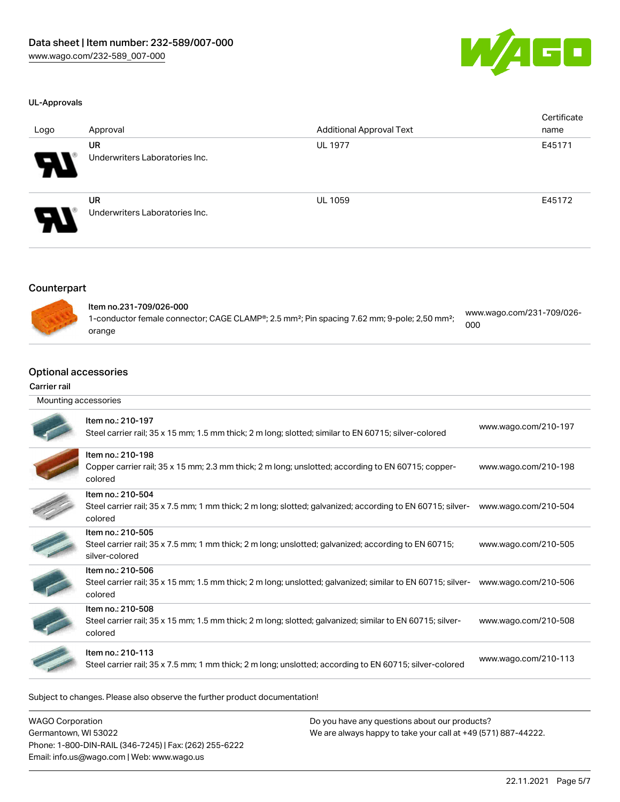

### UL-Approvals

| Logo                       | Approval                                    | <b>Additional Approval Text</b> | Certificate<br>name |
|----------------------------|---------------------------------------------|---------------------------------|---------------------|
| $\boldsymbol{\theta}$      | <b>UR</b><br>Underwriters Laboratories Inc. | <b>UL 1977</b>                  | E45171              |
| $\boldsymbol{\mathcal{A}}$ | UR<br>Underwriters Laboratories Inc.        | <b>UL 1059</b>                  | E45172              |

## Counterpart



| ltem no.231-709/026-000                                                                                              | www.wago.com/231-709/026- |
|----------------------------------------------------------------------------------------------------------------------|---------------------------|
| 1-conductor female connector; CAGE CLAMP®; 2.5 mm <sup>2</sup> ; Pin spacing 7.62 mm; 9-pole; 2,50 mm <sup>2</sup> ; | 000                       |
| orange                                                                                                               |                           |

## Optional accessories

#### Carrier rail

| Mounting accessories |                                                                                                                                             |                      |
|----------------------|---------------------------------------------------------------------------------------------------------------------------------------------|----------------------|
|                      | Item no.: 210-197<br>Steel carrier rail; 35 x 15 mm; 1.5 mm thick; 2 m long; slotted; similar to EN 60715; silver-colored                   | www.wago.com/210-197 |
|                      | Item no.: 210-198<br>Copper carrier rail; 35 x 15 mm; 2.3 mm thick; 2 m long; unslotted; according to EN 60715; copper-<br>colored          | www.wago.com/210-198 |
|                      | Item no.: 210-504<br>Steel carrier rail; 35 x 7.5 mm; 1 mm thick; 2 m long; slotted; galvanized; according to EN 60715; silver-<br>colored  | www.wago.com/210-504 |
|                      | Item no.: 210-505<br>Steel carrier rail; 35 x 7.5 mm; 1 mm thick; 2 m long; unslotted; galvanized; according to EN 60715;<br>silver-colored | www.wago.com/210-505 |
|                      | Item no.: 210-506<br>Steel carrier rail; 35 x 15 mm; 1.5 mm thick; 2 m long; unslotted; galvanized; similar to EN 60715; silver-<br>colored | www.wago.com/210-506 |
|                      | Item no.: 210-508<br>Steel carrier rail; 35 x 15 mm; 1.5 mm thick; 2 m long; slotted; galvanized; similar to EN 60715; silver-<br>colored   | www.wago.com/210-508 |
|                      | Item no.: 210-113<br>Steel carrier rail; 35 x 7.5 mm; 1 mm thick; 2 m long; unslotted; according to EN 60715; silver-colored                | www.wago.com/210-113 |

Subject to changes. Please also observe the further product documentation!

| <b>WAGO Corporation</b>                                | Do you have any questions about our products?                 |
|--------------------------------------------------------|---------------------------------------------------------------|
| Germantown, WI 53022                                   | We are always happy to take your call at +49 (571) 887-44222. |
| Phone: 1-800-DIN-RAIL (346-7245)   Fax: (262) 255-6222 |                                                               |
| Email: info.us@wago.com   Web: www.wago.us             |                                                               |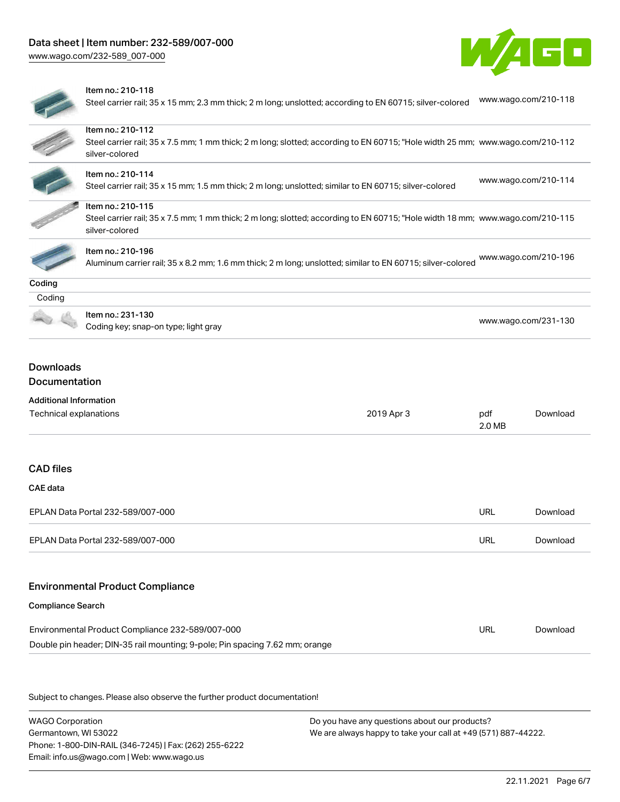[www.wago.com/232-589\\_007-000](http://www.wago.com/232-589_007-000)





### Item no.: 210-118

Steel carrier rail; 35 x 15 mm; 2.3 mm thick; 2 m long; unslotted; according to EN 60715; silver-colored [www.wago.com/210-118](http://www.wago.com/210-118)

|                               | Item no.: 210-112                                                                                                                                |            |                      |                      |
|-------------------------------|--------------------------------------------------------------------------------------------------------------------------------------------------|------------|----------------------|----------------------|
|                               | Steel carrier rail; 35 x 7.5 mm; 1 mm thick; 2 m long; slotted; according to EN 60715; "Hole width 25 mm; www.wago.com/210-112<br>silver-colored |            |                      |                      |
|                               |                                                                                                                                                  |            |                      |                      |
|                               | Item no.: 210-114<br>Steel carrier rail; 35 x 15 mm; 1.5 mm thick; 2 m long; unslotted; similar to EN 60715; silver-colored                      |            | www.wago.com/210-114 |                      |
|                               |                                                                                                                                                  |            |                      |                      |
|                               | Item no.: 210-115                                                                                                                                |            |                      |                      |
|                               | Steel carrier rail; 35 x 7.5 mm; 1 mm thick; 2 m long; slotted; according to EN 60715; "Hole width 18 mm; www.wago.com/210-115<br>silver-colored |            |                      |                      |
|                               |                                                                                                                                                  |            |                      |                      |
|                               | Item no.: 210-196<br>Aluminum carrier rail; 35 x 8.2 mm; 1.6 mm thick; 2 m long; unslotted; similar to EN 60715; silver-colored                  |            |                      | www.wago.com/210-196 |
|                               |                                                                                                                                                  |            |                      |                      |
| Coding<br>Coding              |                                                                                                                                                  |            |                      |                      |
|                               |                                                                                                                                                  |            |                      |                      |
|                               | Item no.: 231-130<br>Coding key; snap-on type; light gray                                                                                        |            | www.wago.com/231-130 |                      |
|                               |                                                                                                                                                  |            |                      |                      |
|                               |                                                                                                                                                  |            |                      |                      |
| <b>Downloads</b>              |                                                                                                                                                  |            |                      |                      |
| <b>Documentation</b>          |                                                                                                                                                  |            |                      |                      |
| <b>Additional Information</b> |                                                                                                                                                  |            |                      |                      |
| Technical explanations        |                                                                                                                                                  | 2019 Apr 3 | pdf<br>2.0 MB        | Download             |
|                               |                                                                                                                                                  |            |                      |                      |
| <b>CAD files</b>              |                                                                                                                                                  |            |                      |                      |
| CAE data                      |                                                                                                                                                  |            |                      |                      |
|                               | EPLAN Data Portal 232-589/007-000                                                                                                                |            | <b>URL</b>           | Download             |
|                               |                                                                                                                                                  |            |                      | Download             |
|                               | EPLAN Data Portal 232-589/007-000                                                                                                                |            | <b>URL</b>           |                      |
|                               |                                                                                                                                                  |            |                      |                      |
|                               | <b>Environmental Product Compliance</b>                                                                                                          |            |                      |                      |
|                               |                                                                                                                                                  |            |                      |                      |
| <b>Compliance Search</b>      | Environmental Product Compliance 232-589/007-000                                                                                                 |            | <b>URL</b>           | Download             |

Subject to changes. Please also observe the further product documentation!

WAGO Corporation Germantown, WI 53022 Phone: 1-800-DIN-RAIL (346-7245) | Fax: (262) 255-6222 Email: info.us@wago.com | Web: www.wago.us